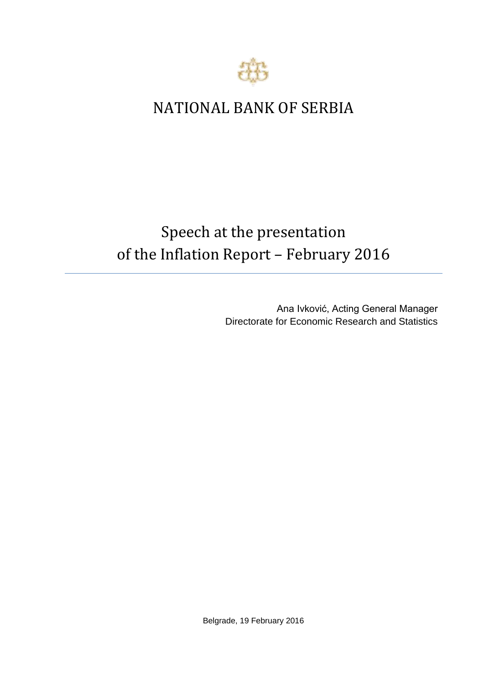

## NATIONAL BANK OF SERBIA

## Speech at the presentation of the Inflation Report – February 2016

Ana Ivković, Acting General Manager Directorate for Economic Research and Statistics

Belgrade, 19 February 2016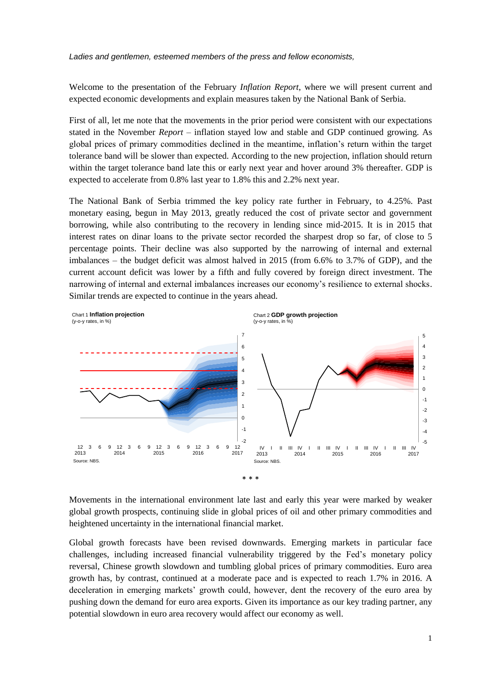*Ladies and gentlemen, esteemed members of the press and fellow economists,* 

Welcome to the presentation of the February *Inflation Report*, where we will present current and expected economic developments and explain measures taken by the National Bank of Serbia.

First of all, let me note that the movements in the prior period were consistent with our expectations stated in the November *Report –* inflation stayed low and stable and GDP continued growing. As global prices of primary commodities declined in the meantime, inflation's return within the target tolerance band will be slower than expected. According to the new projection, inflation should return within the target tolerance band late this or early next year and hover around 3% thereafter. GDP is expected to accelerate from 0.8% last year to 1.8% this and 2.2% next year.

The National Bank of Serbia trimmed the key policy rate further in February, to 4.25%. Past monetary easing, begun in May 2013, greatly reduced the cost of private sector and government borrowing, while also contributing to the recovery in lending since mid-2015. It is in 2015 that interest rates on dinar loans to the private sector recorded the sharpest drop so far, of close to 5 percentage points. Their decline was also supported by the narrowing of internal and external imbalances – the budget deficit was almost halved in 2015 (from 6.6% to 3.7% of GDP), and the current account deficit was lower by a fifth and fully covered by foreign direct investment. The narrowing of internal and external imbalances increases our economy's resilience to external shocks. Similar trends are expected to continue in the years ahead.



Movements in the international environment late last and early this year were marked by weaker global growth prospects, continuing slide in global prices of oil and other primary commodities and heightened uncertainty in the international financial market.

Global growth forecasts have been revised downwards. Emerging markets in particular face challenges, including increased financial vulnerability triggered by the Fed's monetary policy reversal, Chinese growth slowdown and tumbling global prices of primary commodities. Euro area growth has, by contrast, continued at a moderate pace and is expected to reach 1.7% in 2016. A deceleration in emerging markets' growth could, however, dent the recovery of the euro area by pushing down the demand for euro area exports. Given its importance as our key trading partner, any potential slowdown in euro area recovery would affect our economy as well.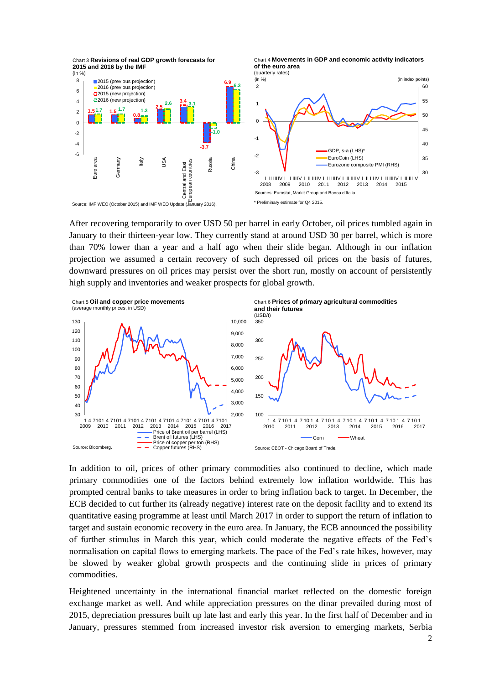

After recovering temporarily to over USD 50 per barrel in early October, oil prices tumbled again in January to their thirteen-year low. They currently stand at around USD 30 per barrel, which is more than 70% lower than a year and a half ago when their slide began. Although in our inflation projection we assumed a certain recovery of such depressed oil prices on the basis of futures, downward pressures on oil prices may persist over the short run, mostly on account of persistently high supply and inventories and weaker prospects for global growth.



In addition to oil, prices of other primary commodities also continued to decline, which made primary commodities one of the factors behind extremely low inflation worldwide. This has prompted central banks to take measures in order to bring inflation back to target. In December, the ECB decided to cut further its (already negative) interest rate on the deposit facility and to extend its quantitative easing programme at least until March 2017 in order to support the return of inflation to target and sustain economic recovery in the euro area. In January, the ECB announced the possibility of further stimulus in March this year, which could moderate the negative effects of the Fed's normalisation on capital flows to emerging markets. The pace of the Fed's rate hikes, however, may be slowed by weaker global growth prospects and the continuing slide in prices of primary commodities.

Heightened uncertainty in the international financial market reflected on the domestic foreign exchange market as well. And while appreciation pressures on the dinar prevailed during most of 2015, depreciation pressures built up late last and early this year. In the first half of December and in January, pressures stemmed from increased investor risk aversion to emerging markets, Serbia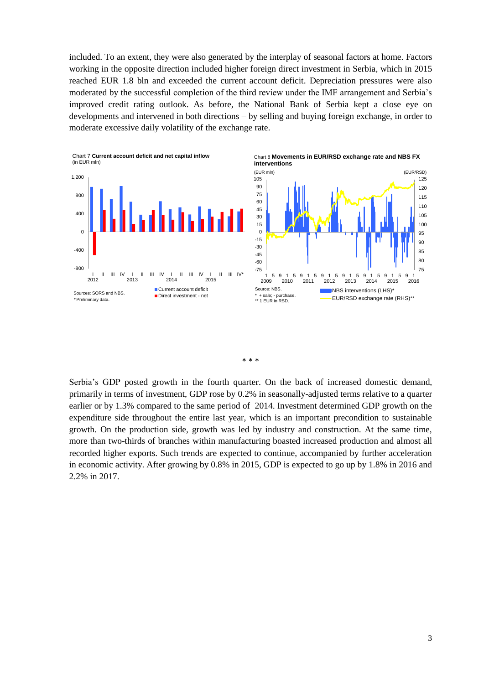included. To an extent, they were also generated by the interplay of seasonal factors at home. Factors working in the opposite direction included higher foreign direct investment in Serbia, which in 2015 reached EUR 1.8 bln and exceeded the current account deficit. Depreciation pressures were also moderated by the successful completion of the third review under the IMF arrangement and Serbia's improved credit rating outlook. As before, the National Bank of Serbia kept a close eye on developments and intervened in both directions – by selling and buying foreign exchange, in order to moderate excessive daily volatility of the exchange rate.





Serbia's GDP posted growth in the fourth quarter. On the back of increased domestic demand, primarily in terms of investment, GDP rose by 0.2% in seasonally-adjusted terms relative to a quarter earlier or by 1.3% compared to the same period of 2014. Investment determined GDP growth on the expenditure side throughout the entire last year, which is an important precondition to sustainable growth. On the production side, growth was led by industry and construction. At the same time, more than two-thirds of branches within manufacturing boasted increased production and almost all recorded higher exports. Such trends are expected to continue, accompanied by further acceleration in economic activity. After growing by 0.8% in 2015, GDP is expected to go up by 1.8% in 2016 and 2.2% in 2017.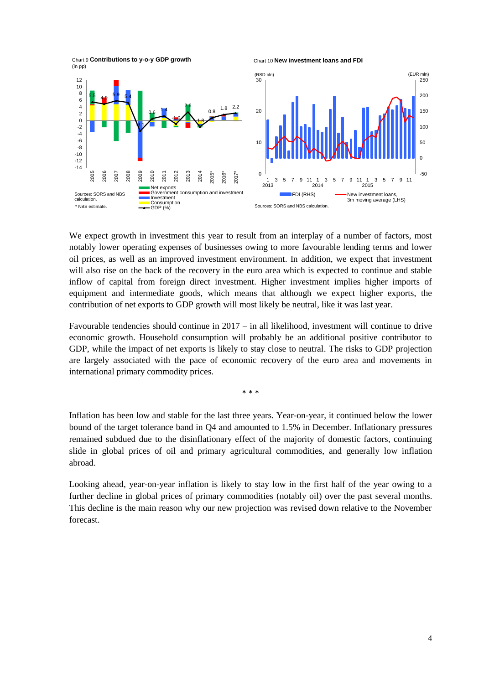

Chart 10 **New investment loans and FDI** 



We expect growth in investment this year to result from an interplay of a number of factors, most notably lower operating expenses of businesses owing to more favourable lending terms and lower oil prices, as well as an improved investment environment. In addition, we expect that investment will also rise on the back of the recovery in the euro area which is expected to continue and stable inflow of capital from foreign direct investment. Higher investment implies higher imports of equipment and intermediate goods, which means that although we expect higher exports, the contribution of net exports to GDP growth will most likely be neutral, like it was last year.

Favourable tendencies should continue in 2017 – in all likelihood, investment will continue to drive economic growth. Household consumption will probably be an additional positive contributor to GDP, while the impact of net exports is likely to stay close to neutral. The risks to GDP projection are largely associated with the pace of economic recovery of the euro area and movements in international primary commodity prices.

\* \* \*

Inflation has been low and stable for the last three years. Year-on-year, it continued below the lower bound of the target tolerance band in Q4 and amounted to 1.5% in December. Inflationary pressures remained subdued due to the disinflationary effect of the majority of domestic factors, continuing slide in global prices of oil and primary agricultural commodities, and generally low inflation abroad.

Looking ahead, year-on-year inflation is likely to stay low in the first half of the year owing to a further decline in global prices of primary commodities (notably oil) over the past several months. This decline is the main reason why our new projection was revised down relative to the November forecast.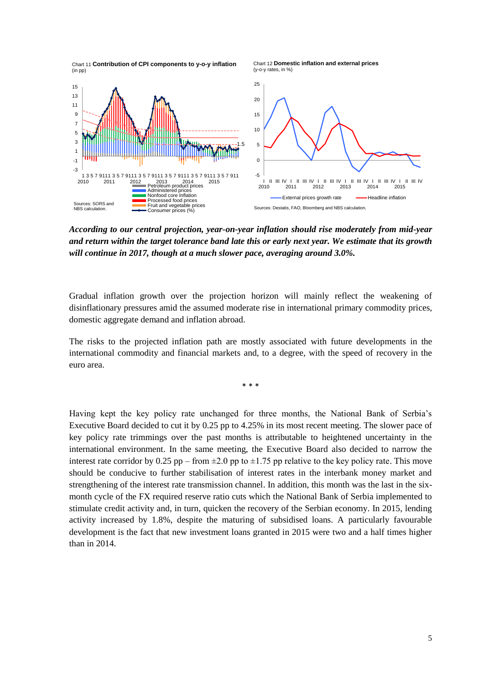

*According to our central projection, year-on-year inflation should rise moderately from mid-year and return within the target tolerance band late this or early next year. We estimate that its growth will continue in 2017, though at a much slower pace, averaging around 3.0%.*

Gradual inflation growth over the projection horizon will mainly reflect the weakening of disinflationary pressures amid the assumed moderate rise in international primary commodity prices, domestic aggregate demand and inflation abroad.

The risks to the projected inflation path are mostly associated with future developments in the international commodity and financial markets and, to a degree, with the speed of recovery in the euro area.

\* \* \*

Having kept the key policy rate unchanged for three months, the National Bank of Serbia's Executive Board decided to cut it by 0.25 pp to 4.25% in its most recent meeting. The slower pace of key policy rate trimmings over the past months is attributable to heightened uncertainty in the international environment. In the same meeting, the Executive Board also decided to narrow the interest rate corridor by 0.25 pp – from  $\pm 2.0$  pp to  $\pm 1.75$  pp relative to the key policy rate. This move should be conducive to further stabilisation of interest rates in the interbank money market and strengthening of the interest rate transmission channel. In addition, this month was the last in the sixmonth cycle of the FX required reserve ratio cuts which the National Bank of Serbia implemented to stimulate credit activity and, in turn, quicken the recovery of the Serbian economy. In 2015, lending activity increased by 1.8%, despite the maturing of subsidised loans. A particularly favourable development is the fact that new investment loans granted in 2015 were two and a half times higher than in 2014.